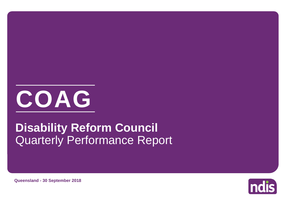

# Quarterly Performance Report **Disability Reform Council**

**Queensland - 30 September 2018**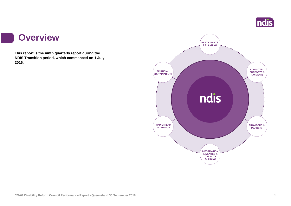

### **Overview**

r i

**This report is the ninth quarterly report during the NDIS Transition period, which commenced on 1 July 2016.**

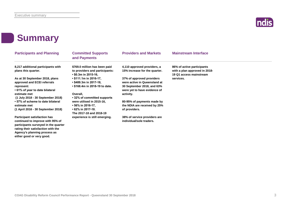

# **Summary**

**either good or very good.**

| <b>Participants and Planning</b>                                                                                                                                                      | <b>Committed Supports</b><br>and Payments                                                            | <b>Providers and Markets</b>                                                                                            | <b>Mainstream Interface</b>                                                            |
|---------------------------------------------------------------------------------------------------------------------------------------------------------------------------------------|------------------------------------------------------------------------------------------------------|-------------------------------------------------------------------------------------------------------------------------|----------------------------------------------------------------------------------------|
| 8,217 additional participants with<br>plans this quarter.                                                                                                                             | \$769.0 million has been paid<br>to providers and participants:<br>$\cdot$ \$0.3m in 2015-16.        | 4,110 approved providers, a<br>15% increase for the quarter.                                                            | 86% of active participants<br>with a plan approved in 2018-<br>19 Q1 access mainstream |
| As at 30 September 2018, plans<br>approved and ECEI referrals<br>represent:<br>• 61% of year to date bilateral                                                                        | • \$111.1m in 2016-17,<br>$\cdot$ \$489.3m in 2017-18,<br>• \$168.4m in 2018-19 to date.             | 37% of approved providers<br>were active in Queensland at<br>30 September 2018, and 63%<br>were yet to have evidence of | services.                                                                              |
| estimate met<br>(1 July 2018 - 30 September 2018)                                                                                                                                     | Overall,<br>• 32% of committed supports                                                              | activity.                                                                                                               |                                                                                        |
| • 57% of scheme to date bilateral<br>estimate met<br>(1 April 2016 - 30 September 2018)                                                                                               | were utilised in 2015-16,<br>• 56% in 2016-17,<br>$\cdot$ 62% in 2017-18.<br>The 2017-18 and 2018-19 | 80-95% of payments made by<br>the NDIA are received by 25%<br>of providers.                                             |                                                                                        |
| <b>Participant satisfaction has</b><br>continued to improve with 95% of<br>participants surveyed in the quarter<br>rating their satisfaction with the<br>Agency's planning process as | experience is still emerging.                                                                        | 38% of service providers are<br>individual/sole traders.                                                                |                                                                                        |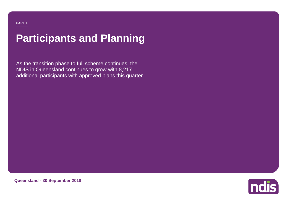# **Participants and Planning**

As the transition phase to full scheme continues, the NDIS in Queensland continues to grow with 8,217 additional participants with approved plans this quarter.



**Queensland - 30 September 2018**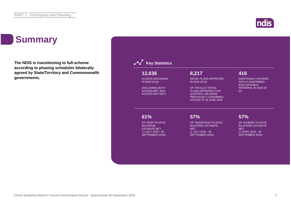# **Summary**

**The NDIS is transitioning to full-scheme according to phasing schedules bilaterally agreed by State/Territory and Commonwealth governments.**



**Indis**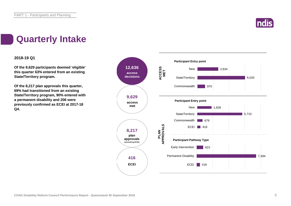

# **Quarterly Intake**

### **2018-19 Q1**

**Of the 9,629 participants deemed 'eligible' this quarter 63% entered from an existing State/Territory program.**

**Of the 8,217 plan approvals this quarter, 69% had transitioned from an existing State/Territory program, 90% entered with a permanent disability and 206 were previously confirmed as ECEI at 2017-18 Q4.**

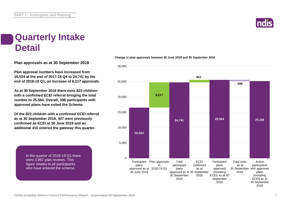

## **Quarterly Intake Detail**

**Plan approvals as at 30 September 2018**

**Plan approval numbers have increased from 16,524 at the end of 2017-18 Q4 to 24,741 by the end of 2018-19 Q1, an increase of 8,217 approvals.**

**As at 30 September 2018 there were 823 children with a confirmed ECEI referral bringing the total number to 25,564. Overall, 398 participants with approved plans have exited the Scheme.**

**Of the 823 children with a confirmed ECEI referral as at 30 September 2018, 407 were previously confirmed as ECEI at 30 June 2018 and an additional 416 entered the gateway this quarter.**

> In the quarter of 2018-19 Q1 there were 3,967 plan reviews. This figure relates to all participants who have entered the scheme.



#### **Change in plan approvals between 30 June 2018 and 30 September 2018**

**COAG Disability Reform Council Performance Report - Queensland 30 September 2018** 7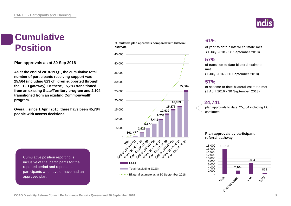# **Cumulative**

**Plan approvals as at 30 Sep 2018**

**As at the end of 2018-19 Q1, the cumulative total number of participants receiving support was 25,564 (including 823 children supported through the ECEI gateway). Of these, 15,783 transitioned from an existing State/Territory program and 2,104 transitioned from an existing Commonwealth program.**

**Overall, since 1 April 2016, there have been 45,784 people with access decisions.**

> Cumulative position reporting is inclusive of trial participants for the reported period and represents participants who have or have had an approved plan.

#### **Cumulative plan approvals compared with bilateral estimate Position** estimate plan approvals compared with bilateral of year to date bilateral estimate met





### **61%**

(1 July 2018 - 30 September 2018)

### **57%**

of transition to date bilateral estimate met (1 July 2016 - 30 September 2018)

### **57%**

of scheme to date bilateral estimate met (1 April 2016 - 30 September 2018)

### **24,741**

plan approvals to date; 25,564 including ECEI confirmed

### **Plan approvals by participant referral pathway**

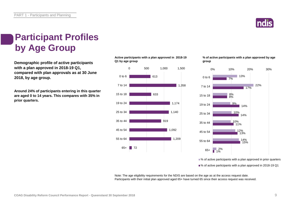

# **Participant Profiles by Age Group**

**Demographic profile of active participants with a plan approved in 2018-19 Q1, compared with plan approvals as at 30 June 2018, by age group.**

**Around 24% of participants entering in this quarter are aged 0 to 14 years. This compares with 35% in prior quarters.**

**Active participants with a plan approved in 2018-19 Q1 by age group**



**% of active participants with a plan approved by age group**



■ % of active participants with a plan approved in prior quarters

■% of active participants with a plan approved in 2018-19 Q1

Note: The age eligibility requirements for the NDIS are based on the age as at the access request date. Participants with their initial plan approved aged 65+ have turned 65 since their access request was received.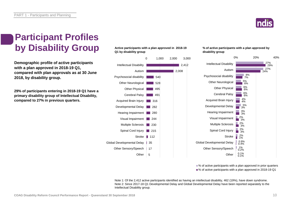

# **Participant Profiles by Disability Group**

**Demographic profile of active participants with a plan approved in 2018-19 Q1, compared with plan approvals as at 30 June 2018, by disability group.**

**29% of participants entering in 2018-19 Q1 have a primary disability group of Intellectual Disability, compared to 27% in previous quarters.**

### **Active participants with a plan approved in 2018-19 Q1 by disability group**



#### **% of active participants with a plan approved by disability group**



■ % of active participants with a plan approved in prior quarters ■% of active participants with a plan approved in 2018-19 Q1

Note 1: Of the 2,412 active participants identified as having an intellectual disability, 462 (19%), have down syndrome. Note 2: Since 2017-18 Q1 Developmental Delay and Global Developmental Delay have been reported separately to the Intellectual Disability group.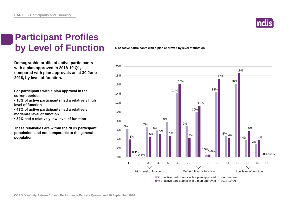PART 1 - Participants and Planning



### **Participant Profiles by Level of Function**

**Demographic profile of active participants with a plan approved in 2018-19 Q1, compared with plan approvals as at 30 June 2018, by level of function.**

**For participants with a plan approval in the current period:** 

- **18% of active participants had a relatively high level of function**
- **49% of active participants had a relatively moderate level of function**
- **32% had a relatively low level of function**

**These relativities are within the NDIS participant population, and not comparable to the general population.**

**% of active participants with a plan approved by level of function**



■% of active participants with a plan approved in 2018-19 Q1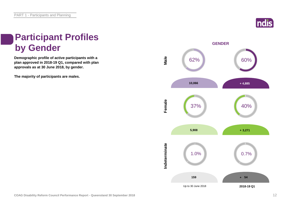

# **Participant Profiles by Gender**

**Demographic profile of active participants with a plan approved in 2018-19 Q1, compared with plan approvals as at 30 June 2018, by gender.**

**The majority of participants are males.**

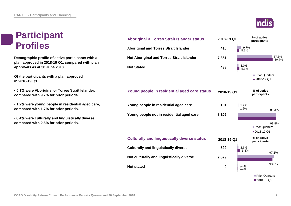# **Participant Profiles**

**Demographic profile of active participants with a plan approved in 2018-19 Q1, compared with plan approvals as at 30 June 2018.**

**Of the participants with a plan approved in 2018-19 Q1:**

**• 5.1% were Aboriginal or Torres Strait Islander, compared with 9.7% for prior periods.**

**• 1.2% were young people in residential aged care, compared with 1.7% for prior periods.**

**• 6.4% were culturally and linguistically diverse, compared with 2.6% for prior periods.**

![](_page_12_Picture_7.jpeg)

![](_page_12_Figure_8.jpeg)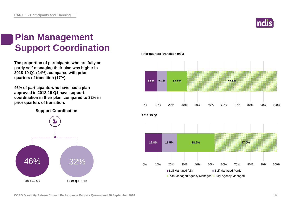![](_page_13_Picture_1.jpeg)

# **Plan Management Support Coordination**

**The proportion of participants who are fully or partly self-managing their plan was higher in 2018-19 Q1 (24%), compared with prior quarters of transition (17%).** 

**46% of participants who have had a plan approved in 2018-19 Q1 have support coordination in their plan, compared to 32% in prior quarters of transition.**

**Support Coordination**

![](_page_13_Figure_6.jpeg)

**Prior quarters (transition only)**

![](_page_13_Figure_8.jpeg)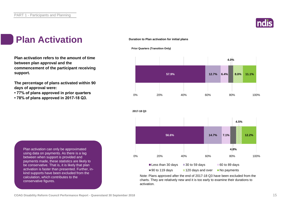![](_page_14_Picture_1.jpeg)

# **Plan Activation**

**Plan activation refers to the amount of time between plan approval and the commencement of the participant receiving support.**

**The percentage of plans activated within 90 days of approval were:** 

- **77% of plans approved in prior quarters**
- **78% of plans approved in 2017-18 Q3.**

### **Duration to Plan activation for initial plans**

![](_page_14_Figure_8.jpeg)

**2017-18 Q3**

![](_page_14_Figure_9.jpeg)

![](_page_14_Figure_10.jpeg)

Note: Plans approved after the end of 2017-18 Q3 have been excluded from the charts. They are relatively new and it is too early to examine their durations to activation.

Plan activation can only be approximated using data on payments. As there is a lag between when support is provided and payments made, these statistics are likely to be conservative. That is, it is likely that plan activation is faster than presented. Further, inkind supports have been excluded from the calculation, which contributes to the conservative figures.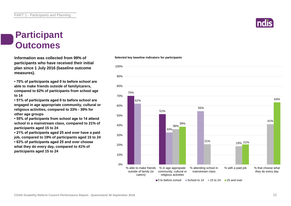# **Participant Outcomes**

**Selected key baseline indicators for participants Information was collected from 99% of participants who have received their initial plan since 1 July 2016 (baseline outcome measures).**

**• 70% of participants aged 0 to before school are able to make friends outside of family/carers, compared to 62% of participants from school age to 14**

**• 51% of participants aged 0 to before school are engaged in age appropriate community, cultural or religious activities, compared to 33% - 39% for other age groups**

**• 55% of participants from school age to 14 attend school in a mainstream class, compared to 21% of participants aged 15 to 24**

**• 21% of participants aged 25 and over have a paid job, compared to 19% of participants aged 15 to 24 • 63% of participants aged 25 and over choose what they do every day, compared to 41% of participants aged 15 to 24**

### 70% 51% 62% 33% 55% 36% 39% 40% 50% 60% 70% 80% 90% 100%

![](_page_15_Picture_9.jpeg)

![](_page_15_Figure_10.jpeg)

 $\Box$  0 to before school  $\Box$  School to 14  $\Box$  15 to 24  $\Box$  25 and over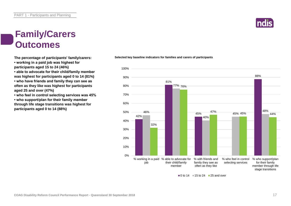# **Family/Carers Outcomes**

![](_page_16_Picture_2.jpeg)

- **working in a paid job was highest for participants aged 15 to 24 (46%)**
- 
- **able to advocate for their child/family member was highest for participants aged 0 to 14 (81%)**
- **who have friends and family they can see as often as they like was highest for participants aged 25 and over (47%)**
- **who feel in control selecting services was 45%**

**• who support/plan for their family member through life stage transitions was highest for participants aged 0 to 14 (88%)**

![](_page_16_Figure_9.jpeg)

![](_page_16_Figure_10.jpeg)

 $\blacksquare$ 0 to 14  $\blacksquare$  15 to 24  $\blacksquare$  25 and over

![](_page_16_Picture_12.jpeg)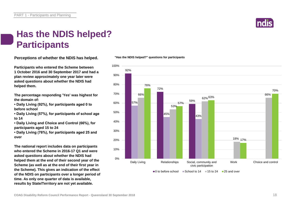![](_page_17_Picture_1.jpeg)

# **Has the NDIS helped? Participants**

**Perceptions of whether the NDIS has helped.**

**Participants who entered the Scheme between 1 October 2016 and 30 September 2017 and had a plan review approximately one year later were asked questions about whether the NDIS had helped them.**

**The percentage responding 'Yes' was highest for the domain of:**

**• Daily Living (92%), for participants aged 0 to before school**

**• Daily Living (57%), for participants of school age to 14**

**• Daily Living and Choice and Control (66%), for participants aged 15 to 24**

**• Daily Living (76%), for participants aged 25 and over**

**The national report includes data on participants who entered the Scheme in 2016-17 Q1 and were asked questions about whether the NDIS had helped them at the end of their second year of the Scheme (as well as at the end of their first year in the Scheme). This gives an indication of the effect of the NDIS on participants over a longer period of time. As only one quarter of data is available, results by State/Territory are not yet available.**

### **"Has the NDIS helped?" questions for participants**

![](_page_17_Figure_12.jpeg)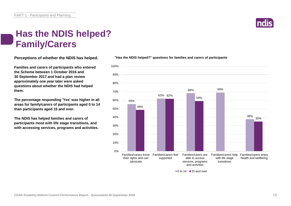# **Has the NDIS helped? Family/Carers**

**Perceptions of whether the NDIS has helped.**

**Families and carers of participants who entered the Scheme between 1 October 2016 and 30 September 2017 and had a plan review approximately one year later were asked questions about whether the NDIS had helped them.**

**The percentage responding 'Yes' was higher in all areas for family/carers of participants aged 0 to 14 than participants aged 15 and over.**

**The NDIS has helped families and carers of participants most with life stage transitions, and with accessing services, programs and activities.**

### 80% 90% 100%

**"Has the NDIS helped?" questions for families and carers of participants**

![](_page_18_Figure_7.jpeg)

 $\blacksquare$ 0 to 14  $\blacksquare$  15 and over

![](_page_18_Picture_9.jpeg)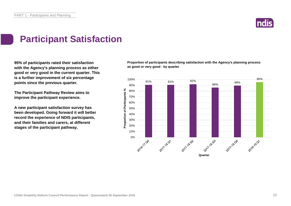![](_page_19_Picture_1.jpeg)

# **Participant Satisfaction**

**95% of participants rated their satisfaction with the Agency's planning process as either good or very good in the current quarter. This is a further improvement of six percentage points since the previous quarter.**

**The Participant Pathway Review aims to improve the participant experience.**

**A new participant satisfaction survey has been developed. Going forward it will better record the experience of NDIS participants, and their families and carers, at different stages of the participant pathway.**

**Proportion of participants describing satisfaction with the Agency's planning process as good or very good - by quarter**

![](_page_19_Figure_7.jpeg)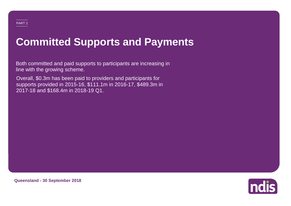# **Committed Supports and Payments**

Both committed and paid supports to participants are increasing in line with the growing scheme.

Overall, \$0.3m has been paid to providers and participants for supports provided in 2015-16, \$111.1m in 2016-17, \$489.3m in 2017-18 and \$168.4m in 2018-19 Q1.

![](_page_20_Picture_4.jpeg)

**Queensland - 30 September 2018**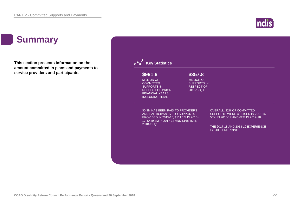![](_page_21_Picture_1.jpeg)

# **Summary**

**This section presents information on the amount committed in plans and payments to service providers and participants.**

| \$991.6                                                                                                                                                 | \$357.8                                                                    |                                                                                                       |
|---------------------------------------------------------------------------------------------------------------------------------------------------------|----------------------------------------------------------------------------|-------------------------------------------------------------------------------------------------------|
| <b>MILLION OF</b><br><b>COMMITTED</b><br><b>SUPPORTS IN</b><br><b>RESPECT OF PRIOR</b><br><b>FINANCIAL YEARS</b><br><b>INCLUDING TRIAL</b>              | <b>MILLION OF</b><br><b>SUPPORTS IN</b><br><b>RESPECT OF</b><br>2018-19 Q1 |                                                                                                       |
| \$0.3M HAS BEEN PAID TO PROVIDERS<br>AND PARTICIPANTS FOR SUPPORTS<br>PROVIDED IN 2015-16, \$111.1M IN 2016-<br>17, \$489.3M IN 2017-18 AND \$168.4M IN |                                                                            | OVERALL, 32% OF COMMITTED<br>SUPPORTS WERE UTILISED IN 2015-16.<br>56% IN 2016-17 AND 62% IN 2017-18. |
| 2018-19 Q1.                                                                                                                                             |                                                                            | THE 2017-18 AND 2018-19 EXPERIENCE<br><b>IS STILL EMERGING.</b>                                       |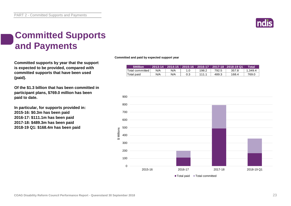![](_page_22_Picture_1.jpeg)

# **Committed Supports and Payments**

**Committed supports by year that the support is expected to be provided, compared with committed supports that have been used (paid).**

**Of the \$1.3 billion that has been committed in participant plans, \$769.0 million has been paid to date.**

**In particular, for supports provided in: 2015-16: \$0.3m has been paid 2016-17: \$111.1m has been paid 2017-18: \$489.3m has been paid 2018-19 Q1: \$168.4m has been paid**

**Committed and paid by expected support year**

|                 |     |     |       |       | <u>  2013-14              2014-15    2015-16                              2016-17             2017-18   2018-19 Q1</u> | Total   |
|-----------------|-----|-----|-------|-------|------------------------------------------------------------------------------------------------------------------------|---------|
| Total committed | N/A | N/A | 198.2 | 792.5 | 357.8                                                                                                                  | 1.349.4 |
| Total paid      | N/A | N/A | 1111  | 489.3 | 168.4                                                                                                                  | 769.0   |

![](_page_22_Figure_8.jpeg)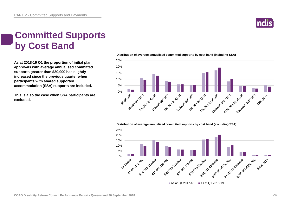![](_page_23_Picture_1.jpeg)

# **Committed Supports by Cost Band**

**As at 2018-19 Q1 the proportion of initial plan approvals with average annualised committed supports greater than \$30,000 has slightly increased since the previous quarter when participants with shared supported accommodation (SSA) supports are included.** 

**This is also the case when SSA participants are excluded.**

**Distribution of average annualised committed supports by cost band (including SSA)** 

![](_page_23_Figure_6.jpeg)

#### **Distribution of average annualised committed supports by cost band (excluding SSA)**

![](_page_23_Figure_8.jpeg)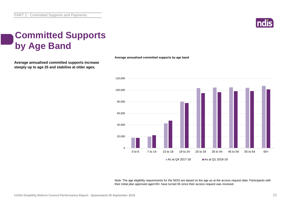![](_page_24_Picture_1.jpeg)

# **Committed Supports by Age Band**

**Average annualised committed supports increase steeply up to age 25 and stabilise at older ages.**

**Average annualised committed supports by age band**

![](_page_24_Figure_5.jpeg)

Note: The age eligibility requirements for the NDIS are based on the age as at the access request date. Participants with their initial plan approved aged 65+ have turned 65 since their access request was received.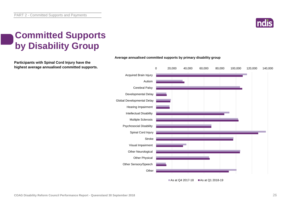![](_page_25_Picture_1.jpeg)

# **Committed Supports by Disability Group**

**Participants with Spinal Cord Injury have the highest average annualised committed supports.**

![](_page_25_Figure_4.jpeg)

### **Average annualised committed supports by primary disability group**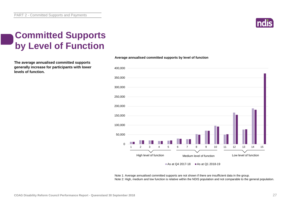![](_page_26_Picture_1.jpeg)

# **Committed Supports by Level of Function**

**The average annualised committed supports generally increase for participants with lower levels of function.**

![](_page_26_Figure_4.jpeg)

**Average annualised committed supports by level of function**

As at Q4 2017-18  $\blacksquare$  As at Q1 2018-19

Note 1: Average annualised committed supports are not shown if there are insufficient data in the group. Note 2: High, medium and low function is relative within the NDIS population and not comparable to the general population.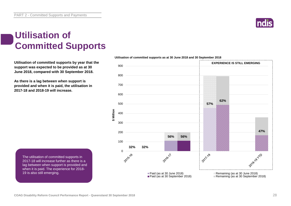**\$ Million**

PART 2 - Committed Supports and Payments

# **Utilisation of Committed Supports**

**Utilisation of committed supports by year that the support was expected to be provided as at 30 June 2018, compared with 30 September 2018.** 

**As there is a lag between when support is provided and when it is paid, the utilisation in 2017-18 and 2018-19 will increase.**

The utilisation of committed supports in 2017-18 will increase further as there is a lag between when support is provided and when it is paid. The experience for 2018- 19 is also still emerging.

![](_page_27_Figure_7.jpeg)

![](_page_27_Figure_8.jpeg)

![](_page_27_Picture_9.jpeg)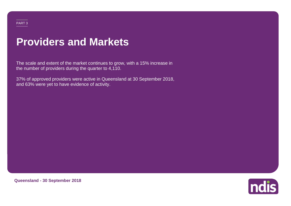### PART 3

# **Providers and Markets**

The scale and extent of the market continues to grow, with a 15% increase in the number of providers during the quarter to 4,110.

37% of approved providers were active in Queensland at 30 September 2018, and 63% were yet to have evidence of activity.

![](_page_28_Picture_4.jpeg)

**Queensland - 30 September 2018**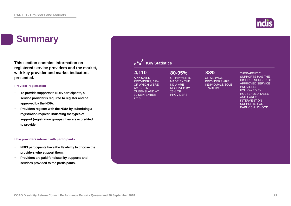# **Summary**

**This section contains information on registered service providers and the market, with key provider and market indicators presented.**

### **Provider registration**

- **To provide supports to NDIS participants, a service provider is required to register and be approved by the NDIA.**
- **Providers register with the NDIA by submitting a registration request, indicating the types of support (registration groups) they are accredited to provide.**

#### **How providers interact with participants**

- **NDIS participants have the flexibility to choose the providers who support them.**
- **Providers are paid for disability supports and services provided to the participants.**

| 4,110<br><b>APPROVED</b><br>PROVIDERS, 37%<br>OF WHICH WERE<br><b>ACTIVE IN</b><br><b>QUEENSLAND AT</b><br><b>30 SEPTEMBER</b><br>2018 | 80-95%<br>OF PAYMENTS<br><b>MADE BY THE</b><br><b>NDIA ARE</b><br><b>RECEIVED BY</b><br>25% OF<br><b>PROVIDERS</b> | 38%<br>OF SERVICE<br><b>PROVIDERS ARE</b><br><b>INDIVIDUALS/SOLE</b><br><b>TRADERS</b> | <b>THERAPEUTIC</b><br><b>SUPPORTS HAS THE</b><br><b>HIGHEST NUMBER OF</b><br><b>APPROVED SERVICE</b><br>PROVIDERS.<br><b>FOLLOWED BY</b><br><b>HOUSEHOLD TASKS</b><br><b>AND EARLY</b><br><b>INTERVENTION</b><br><b>SUPPORTS FOR</b><br><b>EARLY CHILDHOOD</b> |
|----------------------------------------------------------------------------------------------------------------------------------------|--------------------------------------------------------------------------------------------------------------------|----------------------------------------------------------------------------------------|----------------------------------------------------------------------------------------------------------------------------------------------------------------------------------------------------------------------------------------------------------------|
|                                                                                                                                        |                                                                                                                    |                                                                                        |                                                                                                                                                                                                                                                                |

![](_page_29_Picture_10.jpeg)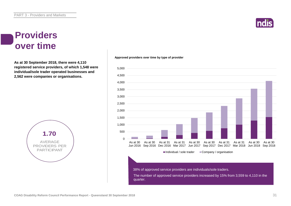# **Indi**

### **Providers over time**

**As at 30 September 2018, there were 4,110 registered service providers, of which 1,548 were individual/sole trader operated businesses and 2,562 were companies or organisations.**

![](_page_30_Figure_4.jpeg)

#### **Approved providers over time by type of provider**

![](_page_30_Figure_6.jpeg)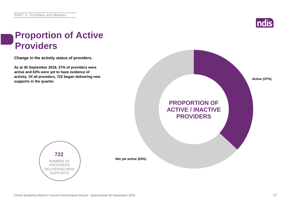![](_page_31_Picture_1.jpeg)

# **Proportion of Active Providers**

**Change in the activity status of providers.**

**As at 30 September 2018, 37% of providers were active and 63% were yet to have evidence of activity. Of all providers, 722 began delivering new supports in the quarter.**

![](_page_31_Figure_5.jpeg)

![](_page_31_Picture_6.jpeg)

**Not yet active (63%)**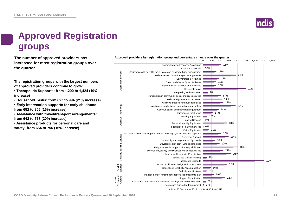![](_page_32_Picture_1.jpeg)

# **Approved Registration groups**

**The number of approved providers has** *Approved providers by registration group and percentage change over the quarter***<br>
<sup>600</sup> <sup>600</sup> <sup>600</sup> increased for most registration groups over the quarter.**

**The registration groups with the largest numbers of approved providers continue to grow:**

**• Therapeutic Supports: from 1,200 to 1,424 (19% increase)**

**• Household Tasks: from 823 to 994 (21% increase)**

**• Early Intervention supports for early childhood: from 692 to 805 (16% increase)**

**• Assistance with travel/transport arrangements: from 642 to 768 (20% increase)**

**• Assistance products for personal care and safety: from 654 to 756 (16% increase)**

![](_page_32_Figure_10.jpeg)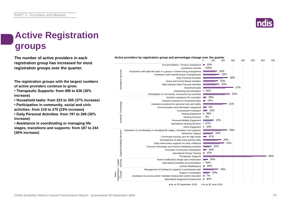![](_page_33_Picture_1.jpeg)

# **Active Registration groups**

**The number of active providers in each registration group has increased for most registration groups over the quarter.**

**The registration groups with the largest numbers of active providers continue to grow:**

**• Therapeutic Supports: from 490 to 636 (30% increase)**

**• Household tasks: from 223 to 305 (37% increase)**

**• Participation in community, social and civic activities: from 219 to 270 (23% increase)**

**• Daily Personal Activities: from 191 to 249 (30% increase)**

**• Assistance in coordinating or managing life stages, transitions and supports: from 187 to 244 (30% increase)**

![](_page_33_Figure_10.jpeg)

As at 30 September 2018 As at 30 June 2018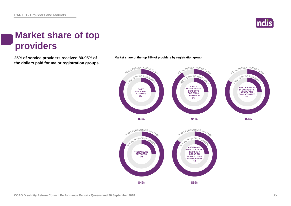![](_page_34_Picture_1.jpeg)

# **Market share of top providers**

**the dollars paid for major registration groups.**

![](_page_34_Figure_4.jpeg)

**25% of service providers received 80-95% of Market share of the top 25% of providers by registration group.**

![](_page_34_Figure_6.jpeg)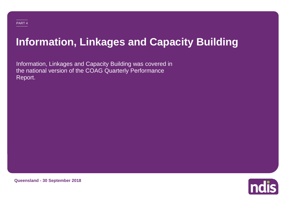# **Information, Linkages and Capacity Building**

Information, Linkages and Capacity Building was covered in the national version of the COAG Quarterly Performance Report.

![](_page_35_Picture_3.jpeg)

**Queensland - 30 September 2018**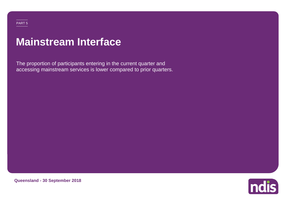PART 5

# **Mainstream Interface**

The proportion of participants entering in the current quarter and accessing mainstream services is lower compared to prior quarters.

![](_page_36_Picture_3.jpeg)

**Queensland - 30 September 2018**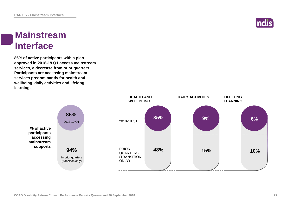![](_page_37_Picture_1.jpeg)

### **Mainstream Interface**

**86% of active participants with a plan approved in 2018-19 Q1 access mainstream services, a decrease from prior quarters. Participants are accessing mainstream services predominantly for health and wellbeing, daily activities and lifelong learning.**

![](_page_37_Figure_4.jpeg)